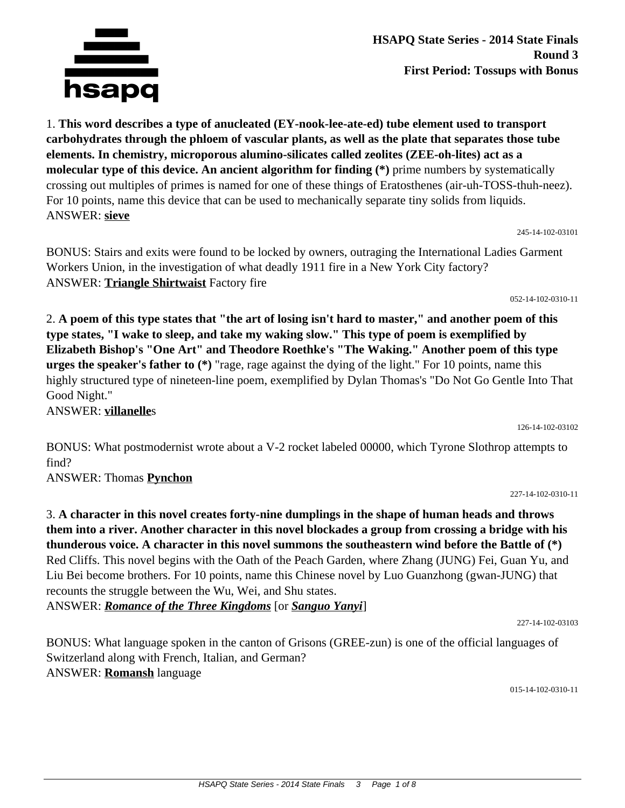

**HSAPQ State Series - 2014 State Finals Round 3 First Period: Tossups with Bonus**

1. **This word describes a type of anucleated (EY-nook-lee-ate-ed) tube element used to transport carbohydrates through the phloem of vascular plants, as well as the plate that separates those tube elements. In chemistry, microporous alumino-silicates called zeolites (ZEE-oh-lites) act as a molecular type of this device. An ancient algorithm for finding (\*)** prime numbers by systematically crossing out multiples of primes is named for one of these things of Eratosthenes (air-uh-TOSS-thuh-neez). For 10 points, name this device that can be used to mechanically separate tiny solids from liquids. ANSWER: **sieve**

BONUS: Stairs and exits were found to be locked by owners, outraging the International Ladies Garment Workers Union, in the investigation of what deadly 1911 fire in a New York City factory? ANSWER: **Triangle Shirtwaist** Factory fire

2. **A poem of this type states that "the art of losing isn't hard to master," and another poem of this type states, "I wake to sleep, and take my waking slow." This type of poem is exemplified by Elizabeth Bishop's "One Art" and Theodore Roethke's "The Waking." Another poem of this type urges the speaker's father to (\*)** "rage, rage against the dying of the light." For 10 points, name this highly structured type of nineteen-line poem, exemplified by Dylan Thomas's "Do Not Go Gentle Into That Good Night."

ANSWER: **villanelle**s

126-14-102-03102

BONUS: What postmodernist wrote about a V-2 rocket labeled 00000, which Tyrone Slothrop attempts to find?

ANSWER: Thomas **Pynchon**

3. **A character in this novel creates forty-nine dumplings in the shape of human heads and throws them into a river. Another character in this novel blockades a group from crossing a bridge with his thunderous voice. A character in this novel summons the southeastern wind before the Battle of (\*)** Red Cliffs. This novel begins with the Oath of the Peach Garden, where Zhang (JUNG) Fei, Guan Yu, and Liu Bei become brothers. For 10 points, name this Chinese novel by Luo Guanzhong (gwan-JUNG) that recounts the struggle between the Wu, Wei, and Shu states. ANSWER: *Romance of the Three Kingdoms* [or *Sanguo Yanyi*]

227-14-102-03103

BONUS: What language spoken in the canton of Grisons (GREE-zun) is one of the official languages of Switzerland along with French, Italian, and German? ANSWER: **Romansh** language

015-14-102-0310-11



245-14-102-03101

052-14-102-0310-11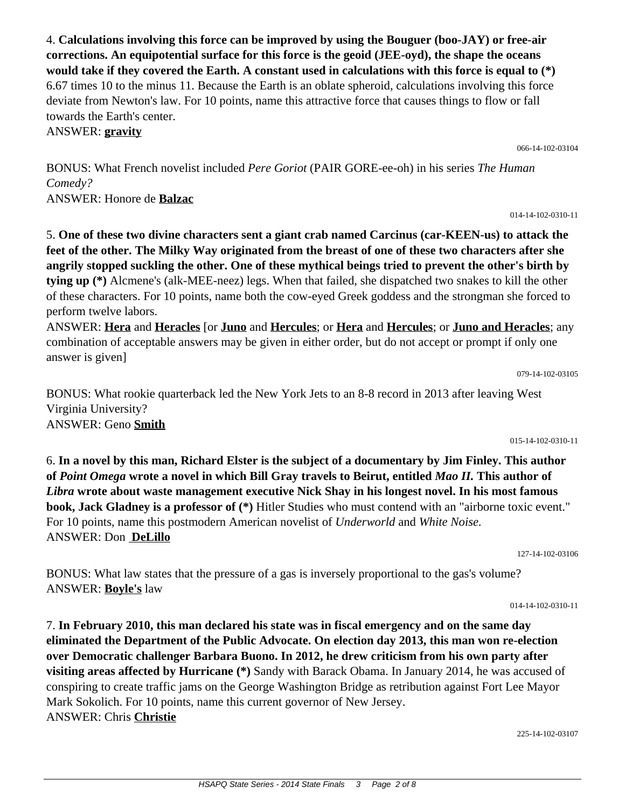4. **Calculations involving this force can be improved by using the Bouguer (boo-JAY) or free-air corrections. An equipotential surface for this force is the geoid (JEE-oyd), the shape the oceans would take if they covered the Earth. A constant used in calculations with this force is equal to (\*)** 6.67 times 10 to the minus 11. Because the Earth is an oblate spheroid, calculations involving this force deviate from Newton's law. For 10 points, name this attractive force that causes things to flow or fall towards the Earth's center.

ANSWER: **gravity**

BONUS: What French novelist included *Pere Goriot* (PAIR GORE-ee-oh) in his series *The Human Comedy?* ANSWER: Honore de **Balzac**

5. **One of these two divine characters sent a giant crab named Carcinus (car-KEEN-us) to attack the feet of the other. The Milky Way originated from the breast of one of these two characters after she angrily stopped suckling the other. One of these mythical beings tried to prevent the other's birth by tying up (\*)** Alcmene's (alk-MEE-neez) legs. When that failed, she dispatched two snakes to kill the other of these characters. For 10 points, name both the cow-eyed Greek goddess and the strongman she forced to perform twelve labors.

ANSWER: **Hera** and **Heracles** [or **Juno** and **Hercules**; or **Hera** and **Hercules**; or **Juno and Heracles**; any combination of acceptable answers may be given in either order, but do not accept or prompt if only one answer is given]

BONUS: What rookie quarterback led the New York Jets to an 8-8 record in 2013 after leaving West Virginia University? ANSWER: Geno **Smith**

6. **In a novel by this man, Richard Elster is the subject of a documentary by Jim Finley. This author of** *Point Omega* **wrote a novel in which Bill Gray travels to Beirut, entitled** *Mao II.* **This author of**  *Libra* **wrote about waste management executive Nick Shay in his longest novel. In his most famous book, Jack Gladney is a professor of (\*)** Hitler Studies who must contend with an "airborne toxic event." For 10 points, name this postmodern American novelist of *Underworld* and *White Noise.* ANSWER: Don **DeLillo**

BONUS: What law states that the pressure of a gas is inversely proportional to the gas's volume? ANSWER: **Boyle's** law

7. **In February 2010, this man declared his state was in fiscal emergency and on the same day eliminated the Department of the Public Advocate. On election day 2013, this man won re-election over Democratic challenger Barbara Buono. In 2012, he drew criticism from his own party after visiting areas affected by Hurricane (\*)** Sandy with Barack Obama. In January 2014, he was accused of conspiring to create traffic jams on the George Washington Bridge as retribution against Fort Lee Mayor Mark Sokolich. For 10 points, name this current governor of New Jersey. ANSWER: Chris **Christie**

079-14-102-03105

015-14-102-0310-11

127-14-102-03106

014-14-102-0310-11

066-14-102-03104

014-14-102-0310-11

225-14-102-03107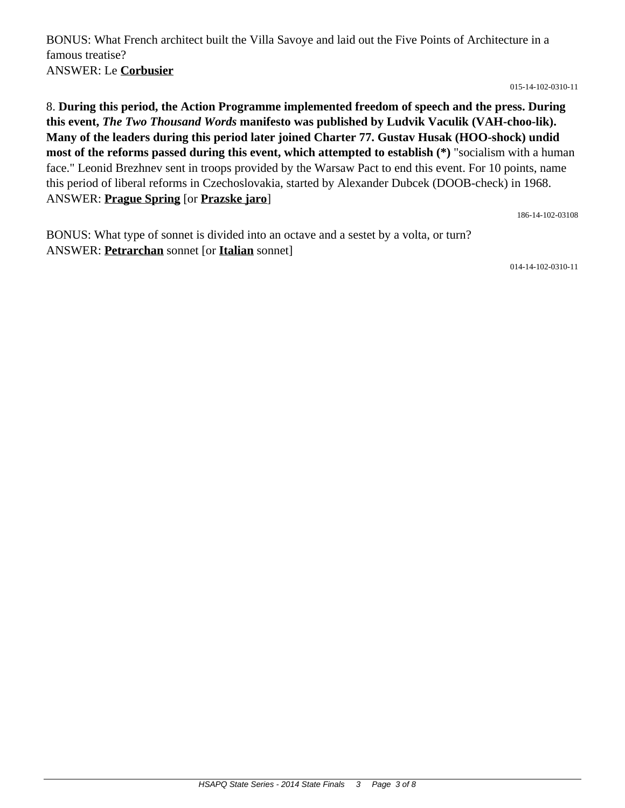BONUS: What French architect built the Villa Savoye and laid out the Five Points of Architecture in a famous treatise? ANSWER: Le **Corbusier**

015-14-102-0310-11

8. **During this period, the Action Programme implemented freedom of speech and the press. During this event,** *The Two Thousand Words* **manifesto was published by Ludvik Vaculik (VAH-choo-lik). Many of the leaders during this period later joined Charter 77. Gustav Husak (HOO-shock) undid most of the reforms passed during this event, which attempted to establish (\*)** "socialism with a human face." Leonid Brezhnev sent in troops provided by the Warsaw Pact to end this event. For 10 points, name this period of liberal reforms in Czechoslovakia, started by Alexander Dubcek (DOOB-check) in 1968. ANSWER: **Prague Spring** [or **Prazske jaro**]

186-14-102-03108

BONUS: What type of sonnet is divided into an octave and a sestet by a volta, or turn? ANSWER: **Petrarchan** sonnet [or **Italian** sonnet]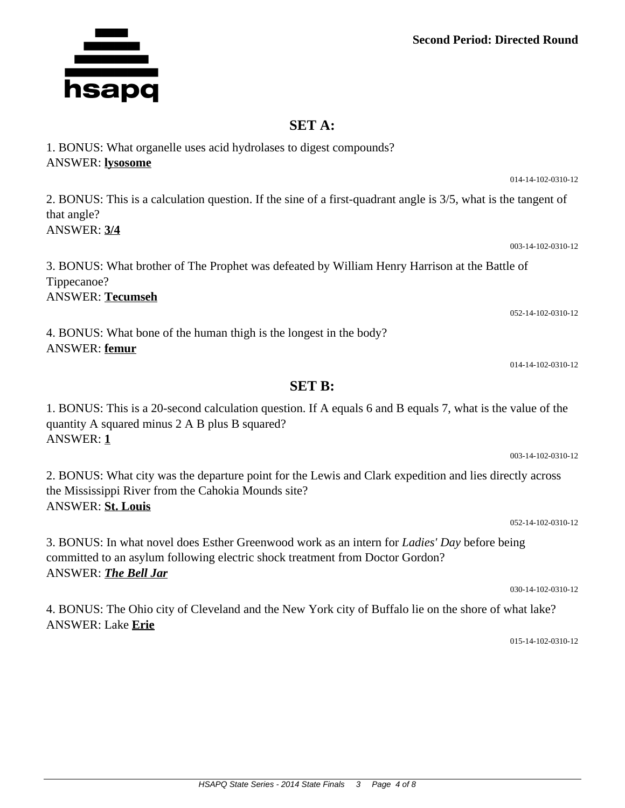## **Second Period: Directed Round**

## **SET A:**

| <b>ANSWER:</b> lysosome                                                                                                                             |                    |
|-----------------------------------------------------------------------------------------------------------------------------------------------------|--------------------|
|                                                                                                                                                     | 014-14-102-0310-12 |
| 2. BONUS: This is a calculation question. If the sine of a first-quadrant angle is 3/5, what is the tangent of<br>that angle?<br><b>ANSWER: 3/4</b> |                    |
|                                                                                                                                                     | 003-14-102-0310-12 |
| 3. BONUS: What brother of The Prophet was defeated by William Henry Harrison at the Battle of<br>Tippecanoe?<br><b>ANSWER: Tecumseh</b>             |                    |
|                                                                                                                                                     | 052-14-102-0310-12 |
| 4. BONUS: What bone of the human thigh is the longest in the body?<br>ANSWER: femur                                                                 |                    |

014-14-102-0310-12

1. BONUS: This is a 20-second calculation question. If A equals 6 and B equals 7, what is the value of the quantity A squared minus 2 A B plus B squared? ANSWER: **1**

**SET B:**

2. BONUS: What city was the departure point for the Lewis and Clark expedition and lies directly across the Mississippi River from the Cahokia Mounds site? ANSWER: **St. Louis**

052-14-102-0310-12

003-14-102-0310-12

3. BONUS: In what novel does Esther Greenwood work as an intern for *Ladies' Day* before being committed to an asylum following electric shock treatment from Doctor Gordon? ANSWER: *The Bell Jar*

4. BONUS: The Ohio city of Cleveland and the New York city of Buffalo lie on the shore of what lake? ANSWER: Lake **Erie**

015-14-102-0310-12

030-14-102-0310-12



## 1. BONUS: What organelle uses acid hydrolases to digest compounds?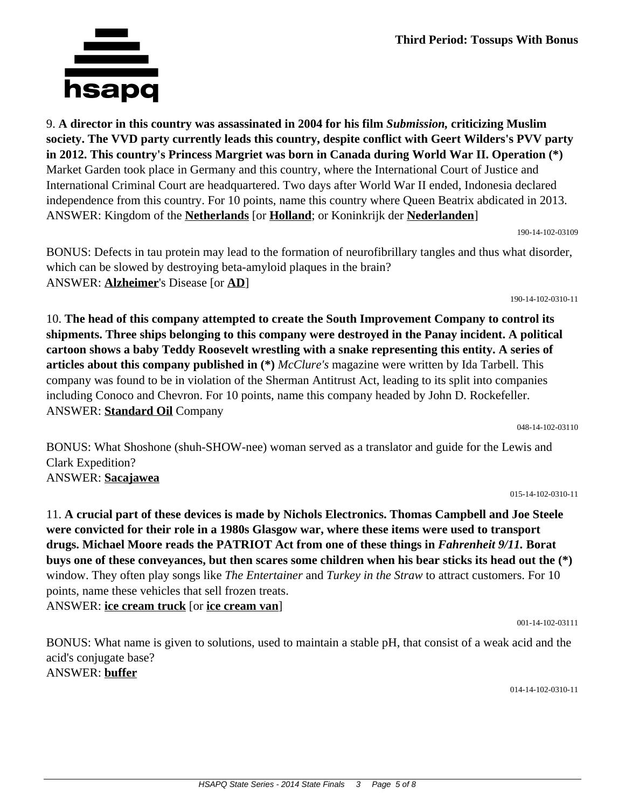

ANSWER: **Standard Oil** Company

11. **A crucial part of these devices is made by Nichols Electronics. Thomas Campbell and Joe Steele were convicted for their role in a 1980s Glasgow war, where these items were used to transport drugs. Michael Moore reads the PATRIOT Act from one of these things in** *Fahrenheit 9/11.* **Borat buys one of these conveyances, but then scares some children when his bear sticks its head out the (\*)** window. They often play songs like *The Entertainer* and *Turkey in the Straw* to attract customers. For 10 points, name these vehicles that sell frozen treats. ANSWER: **ice cream truck** [or **ice cream van**]

BONUS: What name is given to solutions, used to maintain a stable pH, that consist of a weak acid and the acid's conjugate base? ANSWER: **buffer**

014-14-102-0310-11

001-14-102-03111

9. **A director in this country was assassinated in 2004 for his film** *Submission,* **criticizing Muslim society. The VVD party currently leads this country, despite conflict with Geert Wilders's PVV party in 2012. This country's Princess Margriet was born in Canada during World War II. Operation (\*)** Market Garden took place in Germany and this country, where the International Court of Justice and International Criminal Court are headquartered. Two days after World War II ended, Indonesia declared independence from this country. For 10 points, name this country where Queen Beatrix abdicated in 2013. ANSWER: Kingdom of the **Netherlands** [or **Holland**; or Koninkrijk der **Nederlanden**]

190-14-102-03109

BONUS: Defects in tau protein may lead to the formation of neurofibrillary tangles and thus what disorder, which can be slowed by destroying beta-amyloid plaques in the brain? ANSWER: **Alzheimer**'s Disease [or **AD**]

10. **The head of this company attempted to create the South Improvement Company to control its shipments. Three ships belonging to this company were destroyed in the Panay incident. A political cartoon shows a baby Teddy Roosevelt wrestling with a snake representing this entity. A series of articles about this company published in (\*)** *McClure's* magazine were written by Ida Tarbell. This company was found to be in violation of the Sherman Antitrust Act, leading to its split into companies including Conoco and Chevron. For 10 points, name this company headed by John D. Rockefeller.

BONUS: What Shoshone (shuh-SHOW-nee) woman served as a translator and guide for the Lewis and

190-14-102-0310-11

015-14-102-0310-11

048-14-102-03110

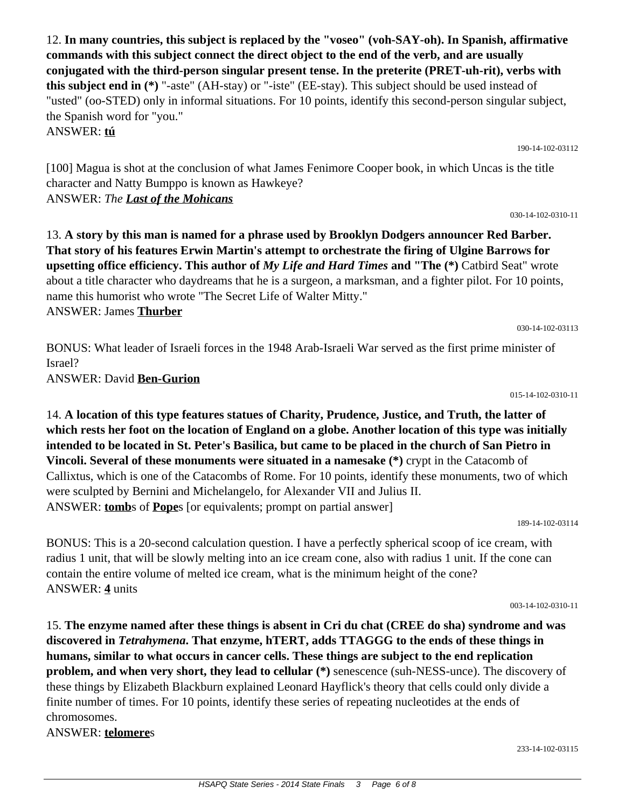12. **In many countries, this subject is replaced by the "voseo" (voh-SAY-oh). In Spanish, affirmative commands with this subject connect the direct object to the end of the verb, and are usually conjugated with the third-person singular present tense. In the preterite (PRET-uh-rit), verbs with this subject end in (\*)** "-aste" (AH-stay) or "-iste" (EE-stay). This subject should be used instead of "usted" (oo-STED) only in informal situations. For 10 points, identify this second-person singular subject, the Spanish word for "you." ANSWER: **tú**

[100] Magua is shot at the conclusion of what James Fenimore Cooper book, in which Uncas is the title character and Natty Bumppo is known as Hawkeye? ANSWER: *The Last of the Mohicans*

13. **A story by this man is named for a phrase used by Brooklyn Dodgers announcer Red Barber. That story of his features Erwin Martin's attempt to orchestrate the firing of Ulgine Barrows for upsetting office efficiency. This author of** *My Life and Hard Times* **and "The (\*)** Catbird Seat" wrote about a title character who daydreams that he is a surgeon, a marksman, and a fighter pilot. For 10 points, name this humorist who wrote "The Secret Life of Walter Mitty." ANSWER: James **Thurber**

BONUS: What leader of Israeli forces in the 1948 Arab-Israeli War served as the first prime minister of Israel? ANSWER: David **Ben-Gurion**

14. **A location of this type features statues of Charity, Prudence, Justice, and Truth, the latter of which rests her foot on the location of England on a globe. Another location of this type was initially intended to be located in St. Peter's Basilica, but came to be placed in the church of San Pietro in Vincoli. Several of these monuments were situated in a namesake (\*)** crypt in the Catacomb of Callixtus, which is one of the Catacombs of Rome. For 10 points, identify these monuments, two of which were sculpted by Bernini and Michelangelo, for Alexander VII and Julius II. ANSWER: **tomb**s of **Pope**s [or equivalents; prompt on partial answer]

BONUS: This is a 20-second calculation question. I have a perfectly spherical scoop of ice cream, with

radius 1 unit, that will be slowly melting into an ice cream cone, also with radius 1 unit. If the cone can contain the entire volume of melted ice cream, what is the minimum height of the cone? ANSWER: **4** units

15. **The enzyme named after these things is absent in Cri du chat (CREE do sha) syndrome and was discovered in** *Tetrahymena***. That enzyme, hTERT, adds TTAGGG to the ends of these things in humans, similar to what occurs in cancer cells. These things are subject to the end replication problem, and when very short, they lead to cellular (\*)** senescence (suh-NESS-unce). The discovery of these things by Elizabeth Blackburn explained Leonard Hayflick's theory that cells could only divide a finite number of times. For 10 points, identify these series of repeating nucleotides at the ends of chromosomes.

ANSWER: **telomere**s

015-14-102-0310-11

030-14-102-03113

190-14-102-03112

030-14-102-0310-11

003-14-102-0310-11

233-14-102-03115

189-14-102-03114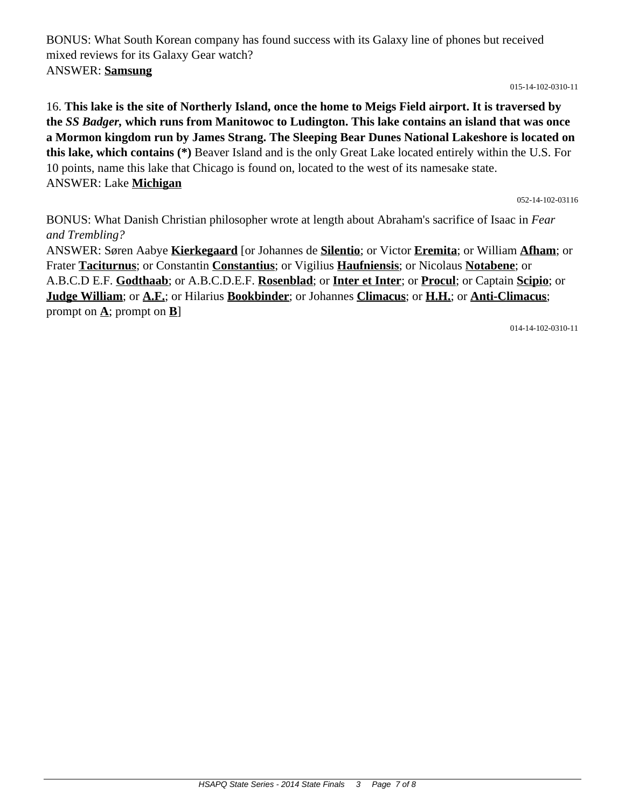BONUS: What South Korean company has found success with its Galaxy line of phones but received mixed reviews for its Galaxy Gear watch? ANSWER: **Samsung**

015-14-102-0310-11

16. **This lake is the site of Northerly Island, once the home to Meigs Field airport. It is traversed by the** *SS Badger,* **which runs from Manitowoc to Ludington. This lake contains an island that was once a Mormon kingdom run by James Strang. The Sleeping Bear Dunes National Lakeshore is located on this lake, which contains (\*)** Beaver Island and is the only Great Lake located entirely within the U.S. For 10 points, name this lake that Chicago is found on, located to the west of its namesake state. ANSWER: Lake **Michigan**

052-14-102-03116

BONUS: What Danish Christian philosopher wrote at length about Abraham's sacrifice of Isaac in *Fear and Trembling?*

ANSWER: Søren Aabye **Kierkegaard** [or Johannes de **Silentio**; or Victor **Eremita**; or William **Afham**; or Frater **Taciturnus**; or Constantin **Constantius**; or Vigilius **Haufniensis**; or Nicolaus **Notabene**; or A.B.C.D E.F. **Godthaab**; or A.B.C.D.E.F. **Rosenblad**; or **Inter et Inter**; or **Procul**; or Captain **Scipio**; or **Judge William**; or **A.F.**; or Hilarius **Bookbinder**; or Johannes **Climacus**; or **H.H.**; or **Anti-Climacus**; prompt on  $\underline{\mathbf{A}}$ ; prompt on  $\underline{\mathbf{B}}$ ]